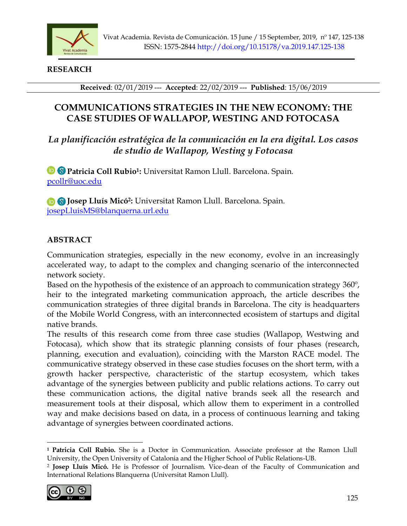

### **RESEARCH**

**Received**: 02/01/2019 --- **Accepted**: 22/02/2019 --- **Published**: 15/06/2019

# **COMMUNICATIONS STRATEGIES IN THE NEW ECONOMY: THE CASE STUDIES OF WALLAPOP, WESTING AND FOTOCASA**

# *La planificación estratégica de la comunicación en la era digital. Los casos de studio de Wallapop, Westing y Fotocasa*

**Patricia Coll Rubio<sup>1</sup> :** Universitat Ramon Llull. Barcelona. Spain. [pcollr@uoc.edu](mailto:pcollr@uoc.edu) 

**Josep Lluís Micó<sup>2</sup> :** Universitat Ramon Llull. Barcelona. Spain. [josepLluisMS@blanquerna.url.edu](mailto:josepLluisMS@blanquerna.url.edu) 

# **ABSTRACT**

Communication strategies, especially in the new economy, evolve in an increasingly accelerated way, to adapt to the complex and changing scenario of the interconnected network society.

Based on the hypothesis of the existence of an approach to communication strategy 360<sup>°</sup>, heir to the integrated marketing communication approach, the article describes the communication strategies of three digital brands in Barcelona. The city is headquarters of the Mobile World Congress, with an interconnected ecosistem of startups and digital native brands.

The results of this research come from three case studies (Wallapop, Westwing and Fotocasa), which show that its strategic planning consists of four phases (research, planning, execution and evaluation), coinciding with the Marston RACE model. The communicative strategy observed in these case studies focuses on the short term, with a growth hacker perspective, characteristic of the startup ecosystem, which takes advantage of the synergies between publicity and public relations actions. To carry out these communication actions, the digital native brands seek all the research and measurement tools at their disposal, which allow them to experiment in a controlled way and make decisions based on data, in a process of continuous learning and taking advantage of synergies between coordinated actions.

<sup>2</sup> **Josep Lluís Micó.** He is Professor of Journalism. Vice-dean of the Faculty of Communication and International Relations Blanquerna (Universitat Ramon Llull).



**<sup>1</sup>Patricia Coll Rubio.** She is a Doctor in Communication. Associate professor at the Ramon Llull University, the Open University of Catalonia and the Higher School of Public Relations-UB.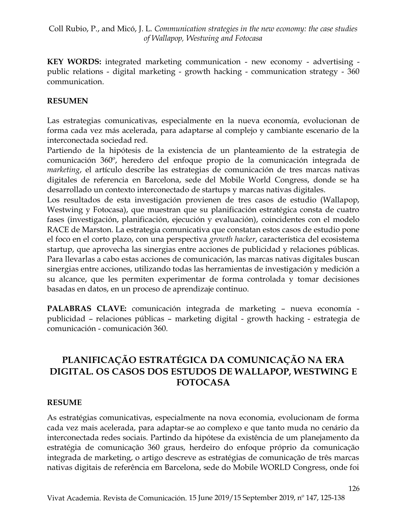**KEY WORDS:** integrated marketing communication - new economy - advertising public relations - digital marketing - growth hacking - communication strategy - 360 communication.

### **RESUMEN**

Las estrategias comunicativas, especialmente en la nueva economía, evolucionan de forma cada vez más acelerada, para adaptarse al complejo y cambiante escenario de la interconectada sociedad red.

Partiendo de la hipótesis de la existencia de un planteamiento de la estrategia de comunicación 360º, heredero del enfoque propio de la comunicación integrada de *marketing*, el artículo describe las estrategias de comunicación de tres marcas nativas digitales de referencia en Barcelona, sede del Mobile World Congress, donde se ha desarrollado un contexto interconectado de startups y marcas nativas digitales.

Los resultados de esta investigación provienen de tres casos de estudio (Wallapop, Westwing y Fotocasa), que muestran que su planificación estratégica consta de cuatro fases (investigación, planificación, ejecución y evaluación), coincidentes con el modelo RACE de Marston. La estrategia comunicativa que constatan estos casos de estudio pone el foco en el corto plazo, con una perspectiva *growth hacker*, característica del ecosistema startup, que aprovecha las sinergias entre acciones de publicidad y relaciones públicas. Para llevarlas a cabo estas acciones de comunicación, las marcas nativas digitales buscan sinergias entre acciones, utilizando todas las herramientas de investigación y medición a su alcance, que les permiten experimentar de forma controlada y tomar decisiones basadas en datos, en un proceso de aprendizaje continuo.

**PALABRAS CLAVE:** comunicación integrada de marketing – nueva economía publicidad – relaciones públicas – marketing digital - growth hacking - estrategia de comunicación - comunicación 360.

# **PLANIFICAÇÃO ESTRATÉGICA DA COMUNICAÇÃO NA ERA DIGITAL. OS CASOS DOS ESTUDOS DE WALLAPOP, WESTWING E FOTOCASA**

#### **RESUME**

As estratégias comunicativas, especialmente na nova economia, evolucionam de forma cada vez mais acelerada, para adaptar-se ao complexo e que tanto muda no cenário da interconectada redes sociais. Partindo da hipótese da existência de um planejamento da estratégia de comunicação 360 graus, herdeiro do enfoque próprio da comunicação integrada de marketing, o artigo descreve as estratégias de comunicação de três marcas nativas digitais de referência em Barcelona, sede do Mobile WORLD Congress, onde foi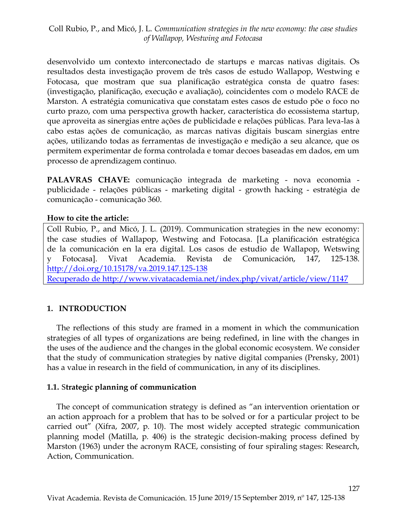desenvolvido um contexto interconectado de startups e marcas nativas digitais. Os resultados desta investigação provem de três casos de estudo Wallapop, Westwing e Fotocasa, que mostram que sua planificação estratégica consta de quatro fases: (investigação, planificação, execução e avaliação), coincidentes com o modelo RACE de Marston. A estratégia comunicativa que constatam estes casos de estudo põe o foco no curto prazo, com uma perspectiva growth hacker, característica do ecossistema startup, que aproveita as sinergias entre ações de publicidade e relações públicas. Para leva-las à cabo estas ações de comunicação, as marcas nativas digitais buscam sinergias entre ações, utilizando todas as ferramentas de investigação e medição a seu alcance, que os permitem experimentar de forma controlada e tomar decoes baseadas em dados, em um processo de aprendizagem continuo.

**PALAVRAS CHAVE:** comunicação integrada de marketing - nova economia publicidade - relações públicas - marketing digital - growth hacking - estratégia de comunicação - comunicação 360.

#### **How to cite the article:**

Coll Rubio, P., and Micó, J. L. (2019). Communication strategies in the new economy: the case studies of Wallapop, Westwing and Fotocasa. [La planificación estratégica de la comunicación en la era digital. Los casos de estudio de Wallapop, Wetswing y Fotocasa]. Vivat Academia. Revista de Comunicación, 147, 125-138. <http://doi.org/10.15178/va.2019.147.125-138> Recuperado de<http://www.vivatacademia.net/index.php/vivat/article/view/1147>

# **1. INTRODUCTION**

The reflections of this study are framed in a moment in which the communication strategies of all types of organizations are being redefined, in line with the changes in the uses of the audience and the changes in the global economic ecosystem. We consider that the study of communication strategies by native digital companies (Prensky, 2001) has a value in research in the field of communication, in any of its disciplines.

# **1.1.** S**trategic planning of communication**

The concept of communication strategy is defined as "an intervention orientation or an action approach for a problem that has to be solved or for a particular project to be carried out" (Xifra, 2007, p. 10). The most widely accepted strategic communication planning model (Matilla, p. 406) is the strategic decision-making process defined by Marston (1963) under the acronym RACE, consisting of four spiraling stages: Research, Action, Communication.

127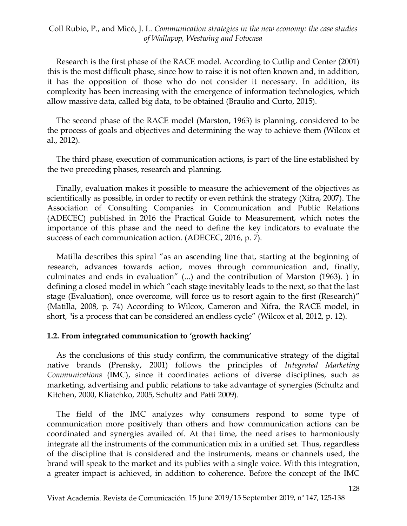Research is the first phase of the RACE model. According to Cutlip and Center (2001) this is the most difficult phase, since how to raise it is not often known and, in addition, it has the opposition of those who do not consider it necessary. In addition, its complexity has been increasing with the emergence of information technologies, which allow massive data, called big data, to be obtained (Braulio and Curto, 2015).

The second phase of the RACE model (Marston, 1963) is planning, considered to be the process of goals and objectives and determining the way to achieve them (Wilcox et al., 2012).

The third phase, execution of communication actions, is part of the line established by the two preceding phases, research and planning.

Finally, evaluation makes it possible to measure the achievement of the objectives as scientifically as possible, in order to rectify or even rethink the strategy (Xifra, 2007). The Association of Consulting Companies in Communication and Public Relations (ADECEC) published in 2016 the Practical Guide to Measurement, which notes the importance of this phase and the need to define the key indicators to evaluate the success of each communication action. (ADECEC, 2016, p. 7).

Matilla describes this spiral "as an ascending line that, starting at the beginning of research, advances towards action, moves through communication and, finally, culminates and ends in evaluation" (...) and the contribution of Marston (1963). ) in defining a closed model in which "each stage inevitably leads to the next, so that the last stage (Evaluation), once overcome, will force us to resort again to the first (Research)" (Matilla, 2008, p. 74) According to Wilcox, Cameron and Xifra, the RACE model, in short, "is a process that can be considered an endless cycle" (Wilcox et al, 2012, p. 12).

#### **1.2. From integrated communication to 'growth hacking'**

As the conclusions of this study confirm, the communicative strategy of the digital native brands (Prensky, 2001) follows the principles of *Integrated Marketing Communications* (IMC), since it coordinates actions of diverse disciplines, such as marketing, advertising and public relations to take advantage of synergies (Schultz and Kitchen, 2000, Kliatchko, 2005, Schultz and Patti 2009).

The field of the IMC analyzes why consumers respond to some type of communication more positively than others and how communication actions can be coordinated and synergies availed of. At that time, the need arises to harmoniously integrate all the instruments of the communication mix in a unified set. Thus, regardless of the discipline that is considered and the instruments, means or channels used, the brand will speak to the market and its publics with a single voice. With this integration, a greater impact is achieved, in addition to coherence. Before the concept of the IMC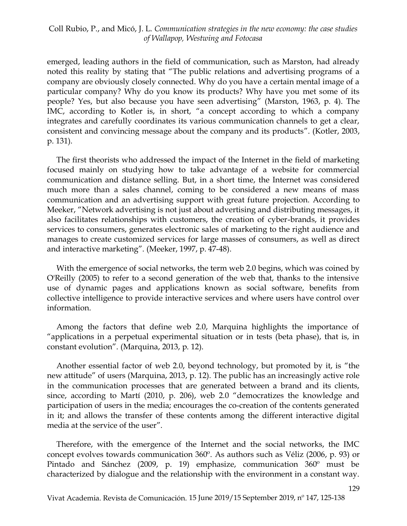emerged, leading authors in the field of communication, such as Marston, had already noted this reality by stating that "The public relations and advertising programs of a company are obviously closely connected. Why do you have a certain mental image of a particular company? Why do you know its products? Why have you met some of its people? Yes, but also because you have seen advertising" (Marston, 1963, p. 4). The IMC, according to Kotler is, in short, "a concept according to which a company integrates and carefully coordinates its various communication channels to get a clear, consistent and convincing message about the company and its products". (Kotler, 2003, p. 131).

The first theorists who addressed the impact of the Internet in the field of marketing focused mainly on studying how to take advantage of a website for commercial communication and distance selling. But, in a short time, the Internet was considered much more than a sales channel, coming to be considered a new means of mass communication and an advertising support with great future projection. According to Meeker, "Network advertising is not just about advertising and distributing messages, it also facilitates relationships with customers, the creation of cyber-brands, it provides services to consumers, generates electronic sales of marketing to the right audience and manages to create customized services for large masses of consumers, as well as direct and interactive marketing". (Meeker, 1997, p. 47-48).

With the emergence of social networks, the term web 2.0 begins, which was coined by O'Reilly (2005) to refer to a second generation of the web that, thanks to the intensive use of dynamic pages and applications known as social software, benefits from collective intelligence to provide interactive services and where users have control over information.

Among the factors that define web 2.0, Marquina highlights the importance of "applications in a perpetual experimental situation or in tests (beta phase), that is, in constant evolution". (Marquina, 2013, p. 12).

Another essential factor of web 2.0, beyond technology, but promoted by it, is "the new attitude" of users (Marquina, 2013, p. 12). The public has an increasingly active role in the communication processes that are generated between a brand and its clients, since, according to Martí (2010, p. 206), web 2.0 "democratizes the knowledge and participation of users in the media; encourages the co-creation of the contents generated in it; and allows the transfer of these contents among the different interactive digital media at the service of the user".

Therefore, with the emergence of the Internet and the social networks, the IMC concept evolves towards communication 360º. As authors such as Véliz (2006, p. 93) or Pintado and Sánchez (2009, p. 19) emphasize, communication 360º must be characterized by dialogue and the relationship with the environment in a constant way.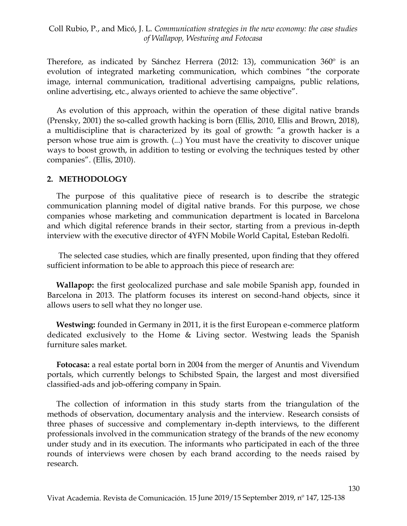Therefore, as indicated by Sánchez Herrera (2012: 13), communication 360º is an evolution of integrated marketing communication, which combines "the corporate image, internal communication, traditional advertising campaigns, public relations, online advertising, etc., always oriented to achieve the same objective".

As evolution of this approach, within the operation of these digital native brands (Prensky, 2001) the so-called growth hacking is born (Ellis, 2010, Ellis and Brown, 2018), a multidiscipline that is characterized by its goal of growth: "a growth hacker is a person whose true aim is growth. (...) You must have the creativity to discover unique ways to boost growth, in addition to testing or evolving the techniques tested by other companies". (Ellis, 2010).

#### **2. METHODOLOGY**

The purpose of this qualitative piece of research is to describe the strategic communication planning model of digital native brands. For this purpose, we chose companies whose marketing and communication department is located in Barcelona and which digital reference brands in their sector, starting from a previous in-depth interview with the executive director of 4YFN Mobile World Capital, Esteban Redolfi.

The selected case studies, which are finally presented, upon finding that they offered sufficient information to be able to approach this piece of research are:

**Wallapop:** the first geolocalized purchase and sale mobile Spanish app, founded in Barcelona in 2013. The platform focuses its interest on second-hand objects, since it allows users to sell what they no longer use.

**Westwing:** founded in Germany in 2011, it is the first European e-commerce platform dedicated exclusively to the Home & Living sector. Westwing leads the Spanish furniture sales market.

**Fotocasa:** a real estate portal born in 2004 from the merger of Anuntis and Vivendum portals, which currently belongs to Schibsted Spain, the largest and most diversified classified-ads and job-offering company in Spain.

The collection of information in this study starts from the triangulation of the methods of observation, documentary analysis and the interview. Research consists of three phases of successive and complementary in-depth interviews, to the different professionals involved in the communication strategy of the brands of the new economy under study and in its execution. The informants who participated in each of the three rounds of interviews were chosen by each brand according to the needs raised by research.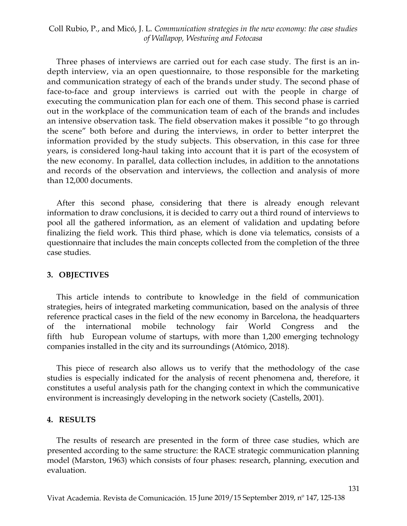Three phases of interviews are carried out for each case study. The first is an indepth interview, via an open questionnaire, to those responsible for the marketing and communication strategy of each of the brands under study. The second phase of face-to-face and group interviews is carried out with the people in charge of executing the communication plan for each one of them. This second phase is carried out in the workplace of the communication team of each of the brands and includes an intensive observation task. The field observation makes it possible "to go through the scene" both before and during the interviews, in order to better interpret the information provided by the study subjects. This observation, in this case for three years, is considered long-haul taking into account that it is part of the ecosystem of the new economy. In parallel, data collection includes, in addition to the annotations and records of the observation and interviews, the collection and analysis of more than 12,000 documents.

After this second phase, considering that there is already enough relevant information to draw conclusions, it is decided to carry out a third round of interviews to pool all the gathered information, as an element of validation and updating before finalizing the field work. This third phase, which is done via telematics, consists of a questionnaire that includes the main concepts collected from the completion of the three case studies.

#### **3. OBJECTIVES**

This article intends to contribute to knowledge in the field of communication strategies, heirs of integrated marketing communication, based on the analysis of three reference practical cases in the field of the new economy in Barcelona, the headquarters of the international mobile technology fair World Congress and the fifth hub European volume of startups, with more than 1,200 emerging technology companies installed in the city and its surroundings (Atómico, 2018).

This piece of research also allows us to verify that the methodology of the case studies is especially indicated for the analysis of recent phenomena and, therefore, it constitutes a useful analysis path for the changing context in which the communicative environment is increasingly developing in the network society (Castells, 2001).

#### **4. RESULTS**

The results of research are presented in the form of three case studies, which are presented according to the same structure: the RACE strategic communication planning model (Marston, 1963) which consists of four phases: research, planning, execution and evaluation.

131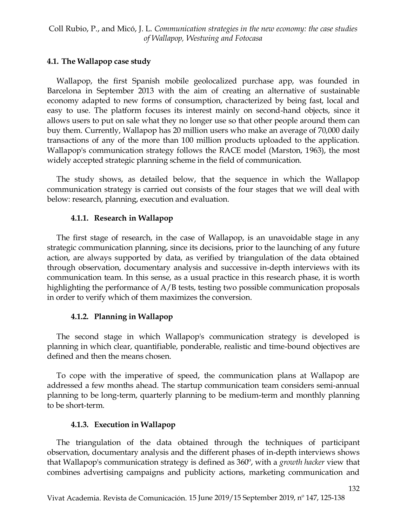### **4.1. The Wallapop case study**

Wallapop, the first Spanish mobile geolocalized purchase app, was founded in Barcelona in September 2013 with the aim of creating an alternative of sustainable economy adapted to new forms of consumption, characterized by being fast, local and easy to use. The platform focuses its interest mainly on second-hand objects, since it allows users to put on sale what they no longer use so that other people around them can buy them. Currently, Wallapop has 20 million users who make an average of 70,000 daily transactions of any of the more than 100 million products uploaded to the application. Wallapop's communication strategy follows the RACE model (Marston, 1963), the most widely accepted strategic planning scheme in the field of communication.

The study shows, as detailed below, that the sequence in which the Wallapop communication strategy is carried out consists of the four stages that we will deal with below: research, planning, execution and evaluation.

### **4.1.1. Research in Wallapop**

The first stage of research, in the case of Wallapop, is an unavoidable stage in any strategic communication planning, since its decisions, prior to the launching of any future action, are always supported by data, as verified by triangulation of the data obtained through observation, documentary analysis and successive in-depth interviews with its communication team. In this sense, as a usual practice in this research phase, it is worth highlighting the performance of A/B tests, testing two possible communication proposals in order to verify which of them maximizes the conversion.

# **4.1.2. Planning in Wallapop**

The second stage in which Wallapop's communication strategy is developed is planning in which clear, quantifiable, ponderable, realistic and time-bound objectives are defined and then the means chosen.

To cope with the imperative of speed, the communication plans at Wallapop are addressed a few months ahead. The startup communication team considers semi-annual planning to be long-term, quarterly planning to be medium-term and monthly planning to be short-term.

# **4.1.3. Execution in Wallapop**

The triangulation of the data obtained through the techniques of participant observation, documentary analysis and the different phases of in-depth interviews shows that Wallapop's communication strategy is defined as 360º, with a *growth hacker* view that combines advertising campaigns and publicity actions, marketing communication and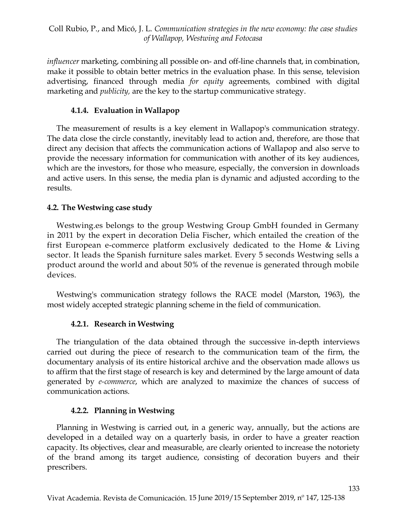*influencer* marketing, combining all possible on- and off-line channels that, in combination, make it possible to obtain better metrics in the evaluation phase. In this sense, television advertising, financed through media *for equity* agreements*,* combined with digital marketing and *publicity,* are the key to the startup communicative strategy.

# **4.1.4. Evaluation in Wallapop**

The measurement of results is a key element in Wallapop's communication strategy. The data close the circle constantly, inevitably lead to action and, therefore, are those that direct any decision that affects the communication actions of Wallapop and also serve to provide the necessary information for communication with another of its key audiences, which are the investors, for those who measure, especially, the conversion in downloads and active users. In this sense, the media plan is dynamic and adjusted according to the results.

# **4.2. The Westwing case study**

Westwing.es belongs to the group Westwing Group GmbH founded in Germany in 2011 by the expert in decoration Delia Fischer, which entailed the creation of the first European e-commerce platform exclusively dedicated to the Home & Living sector. It leads the Spanish furniture sales market. Every 5 seconds Westwing sells a product around the world and about 50% of the revenue is generated through mobile devices.

Westwing's communication strategy follows the RACE model (Marston, 1963), the most widely accepted strategic planning scheme in the field of communication.

# **4.2.1. Research in Westwing**

The triangulation of the data obtained through the successive in-depth interviews carried out during the piece of research to the communication team of the firm, the documentary analysis of its entire historical archive and the observation made allows us to affirm that the first stage of research is key and determined by the large amount of data generated by *e-commerce*, which are analyzed to maximize the chances of success of communication actions.

# **4.2.2. Planning in Westwing**

Planning in Westwing is carried out, in a generic way, annually, but the actions are developed in a detailed way on a quarterly basis, in order to have a greater reaction capacity. Its objectives, clear and measurable, are clearly oriented to increase the notoriety of the brand among its target audience, consisting of decoration buyers and their prescribers.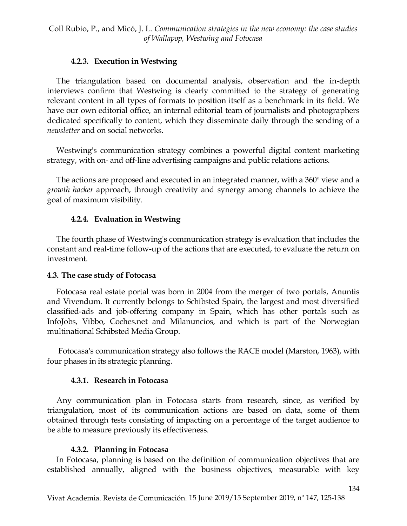### **4.2.3. Execution in Westwing**

The triangulation based on documental analysis, observation and the in-depth interviews confirm that Westwing is clearly committed to the strategy of generating relevant content in all types of formats to position itself as a benchmark in its field. We have our own editorial office, an internal editorial team of journalists and photographers dedicated specifically to content, which they disseminate daily through the sending of a *newsletter* and on social networks.

Westwing's communication strategy combines a powerful digital content marketing strategy, with on- and off-line advertising campaigns and public relations actions.

The actions are proposed and executed in an integrated manner, with a 360º view and a *growth hacker* approach, through creativity and synergy among channels to achieve the goal of maximum visibility.

### **4.2.4. Evaluation in Westwing**

The fourth phase of Westwing's communication strategy is evaluation that includes the constant and real-time follow-up of the actions that are executed, to evaluate the return on investment.

#### **4.3. The case study of Fotocasa**

Fotocasa real estate portal was born in 2004 from the merger of two portals, Anuntis and Vivendum. It currently belongs to Schibsted Spain, the largest and most diversified classified-ads and job-offering company in Spain, which has other portals such as InfoJobs, Vibbo, Coches.net and Milanuncios, and which is part of the Norwegian multinational Schibsted Media Group.

Fotocasa's communication strategy also follows the RACE model (Marston, 1963), with four phases in its strategic planning.

#### **4.3.1. Research in Fotocasa**

Any communication plan in Fotocasa starts from research, since, as verified by triangulation, most of its communication actions are based on data, some of them obtained through tests consisting of impacting on a percentage of the target audience to be able to measure previously its effectiveness.

#### **4.3.2. Planning in Fotocasa**

In Fotocasa, planning is based on the definition of communication objectives that are established annually, aligned with the business objectives, measurable with key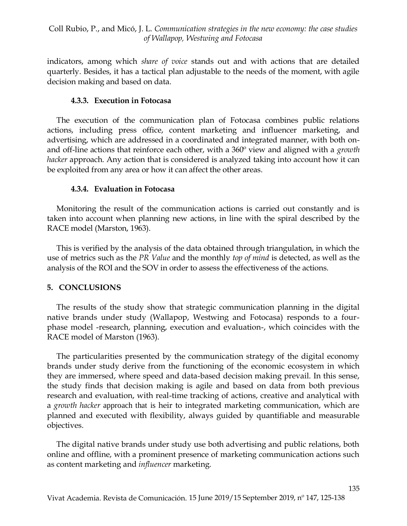indicators, among which *share of voice* stands out and with actions that are detailed quarterly. Besides, it has a tactical plan adjustable to the needs of the moment, with agile decision making and based on data.

#### **4.3.3. Execution in Fotocasa**

The execution of the communication plan of Fotocasa combines public relations actions, including press office, content marketing and influencer marketing, and advertising, which are addressed in a coordinated and integrated manner, with both onand off-line actions that reinforce each other, with a 360º view and aligned with a *growth hacker* approach. Any action that is considered is analyzed taking into account how it can be exploited from any area or how it can affect the other areas.

### **4.3.4. Evaluation in Fotocasa**

Monitoring the result of the communication actions is carried out constantly and is taken into account when planning new actions, in line with the spiral described by the RACE model (Marston, 1963).

This is verified by the analysis of the data obtained through triangulation, in which the use of metrics such as the *PR Value* and the monthly *top of mind* is detected, as well as the analysis of the ROI and the SOV in order to assess the effectiveness of the actions.

# **5. CONCLUSIONS**

The results of the study show that strategic communication planning in the digital native brands under study (Wallapop, Westwing and Fotocasa) responds to a fourphase model -research, planning, execution and evaluation-, which coincides with the RACE model of Marston (1963).

The particularities presented by the communication strategy of the digital economy brands under study derive from the functioning of the economic ecosystem in which they are immersed, where speed and data-based decision making prevail. In this sense, the study finds that decision making is agile and based on data from both previous research and evaluation, with real-time tracking of actions, creative and analytical with a *growth hacker* approach that is heir to integrated marketing communication, which are planned and executed with flexibility, always guided by quantifiable and measurable objectives.

The digital native brands under study use both advertising and public relations, both online and offline, with a prominent presence of marketing communication actions such as content marketing and *influencer* marketing.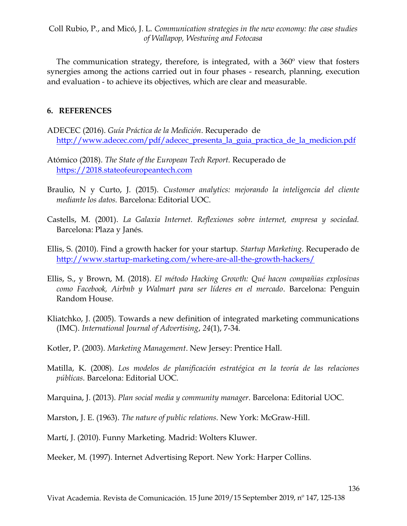The communication strategy, therefore, is integrated, with a 360º view that fosters synergies among the actions carried out in four phases - research, planning, execution and evaluation - to achieve its objectives, which are clear and measurable.

#### **6. REFERENCES**

- ADECEC (2016). *Guía Práctica de la Medición*. Recuperado de [http://www.adecec.com/pdf/adecec\\_presenta\\_la\\_guia\\_practica\\_de\\_la\\_medicion.pdf](http://www.adecec.com/pdf/adecec_presenta_la_guia_practica_de_la_medicion.pdf)
- Atómico (2018). *The State of the European Tech Report.* Recuperado de [https://2018.stateofeuropeantech.com](https://2018.stateofeuropeantech.com/)
- Braulio, N y Curto, J. (2015). *Customer analytics: mejorando la inteligencia del cliente mediante los datos.* Barcelona: Editorial UOC.
- Castells, M. (2001). *La Galaxia Internet. Reflexiones sobre internet, empresa y sociedad.* Barcelona: Plaza y Janés.
- Ellis, S. (2010). Find a growth hacker for your startup. *Startup Marketing*. Recuperado de <http://www.startup-marketing.com/where-are-all-the-growth-hackers/>
- Ellis, S., y Brown, M. (2018). *El método Hacking Growth: Qué hacen compañias explosivas como Facebook, Airbnb y Walmart para ser líderes en el mercado*. Barcelona: Penguin Random House.
- Kliatchko, J. (2005). Towards a new definition of integrated marketing communications (IMC). *International Journal of Advertising*, *24*(1), 7-34.
- Kotler, P. (2003). *Marketing Management*. New Jersey: Prentice Hall.
- Matilla, K. (2008). *Los modelos de planificación estratégica en la teoría de las relaciones públicas*. Barcelona: Editorial UOC.
- Marquina, J. (2013). *Plan social media y community manager*. Barcelona: Editorial UOC.
- Marston, J. E. (1963). *The nature of public relations*. New York: McGraw-Hill.
- Martí, J. (2010). Funny Marketing. Madrid: Wolters Kluwer.

Meeker, M. (1997). Internet Advertising Report. New York: Harper Collins.

136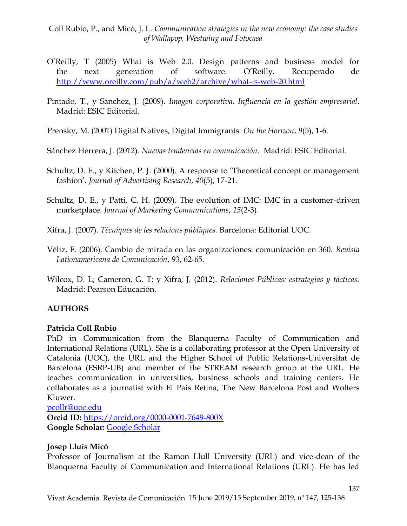- O'Reilly, T (2005) What is Web 2.0. Design patterns and business model for the next generation of software. O'Reilly. Recuperado de <http://www.oreilly.com/pub/a/web2/archive/what-is-web-20.html>
- Pintado, T., y Sánchez, J. (2009). *Imagen corporativa. Influencia en la gestión empresarial*. Madrid: ESIC Editorial.

Prensky, M. (2001) Digital Natives, Digital Immigrants. *On the Horizon*, *9*(5), 1-6.

Sánchez Herrera, J. (2012). *Nuevas tendencias en comunicación*. Madrid: ESIC Editorial.

- Schultz, D. E., y Kitchen, P. J. (2000). A response to 'Theoretical concept or management fashion'. *Journal of Advertising Research*, *40*(5), 17-21.
- Schultz, D. E., y Patti, C. H. (2009). The evolution of IMC: IMC in a customer-driven marketplace. *Journal of Marketing Communications*, *15*(2-3).

Xifra, J. (2007). *Tècniques de les relacions públiques.* Barcelona: Editorial UOC.

- Véliz, F. (2006). Cambio de mirada en las organizaciones: comunicación en 360. *Revista Lationamericana de Comunicación*, 93, 62-65.
- Wilcox, D. L; Cameron, G. T; y Xifra, J. (2012). *Relaciones Públicas: estrategias y tácticas.* Madrid: Pearson Educación.

# **AUTHORS**

# **Patricia Coll Rubio**

PhD in Communication from the Blanquerna Faculty of Communication and International Relations (URL). She is a collaborating professor at the Open University of Catalonia (UOC), the URL and the Higher School of Public Relations-Universitat de Barcelona (ESRP-UB) and member of the STREAM research group at the URL. He teaches communication in universities, business schools and training centers. He collaborates as a journalist with El Pais Retina, The New Barcelona Post and Wolters Kluwer.

[pcollr@uoc.edu](mailto:pcollr@uoc.edu)

**Orcid ID:** <https://orcid.org/0000-0001-7649-800X> **Google Scholar:** [Google Scholar](https://scholar.google.es/citations?view_op=list_works&hl=es&user=GmgT_1UAAAAJ&gmla=AJsN-F7usJwdx2Y5NiXxTPSv0h7sqVg0fPBf9eS9dkOgsRV6JC6TgvSXF4Skk5G8VLICG-amIhcM6Wg26ZW61u6pxC5Gb52t_8HfI2ejHpecdoaYg9J5JHY76fxcD6xcFVaI0vOaajDQ&user=GmgT_1UAAAAJ)

# **Josep Lluís Micó**

Professor of Journalism at the Ramon Llull University (URL) and vice-dean of the Blanquerna Faculty of Communication and International Relations (URL). He has led